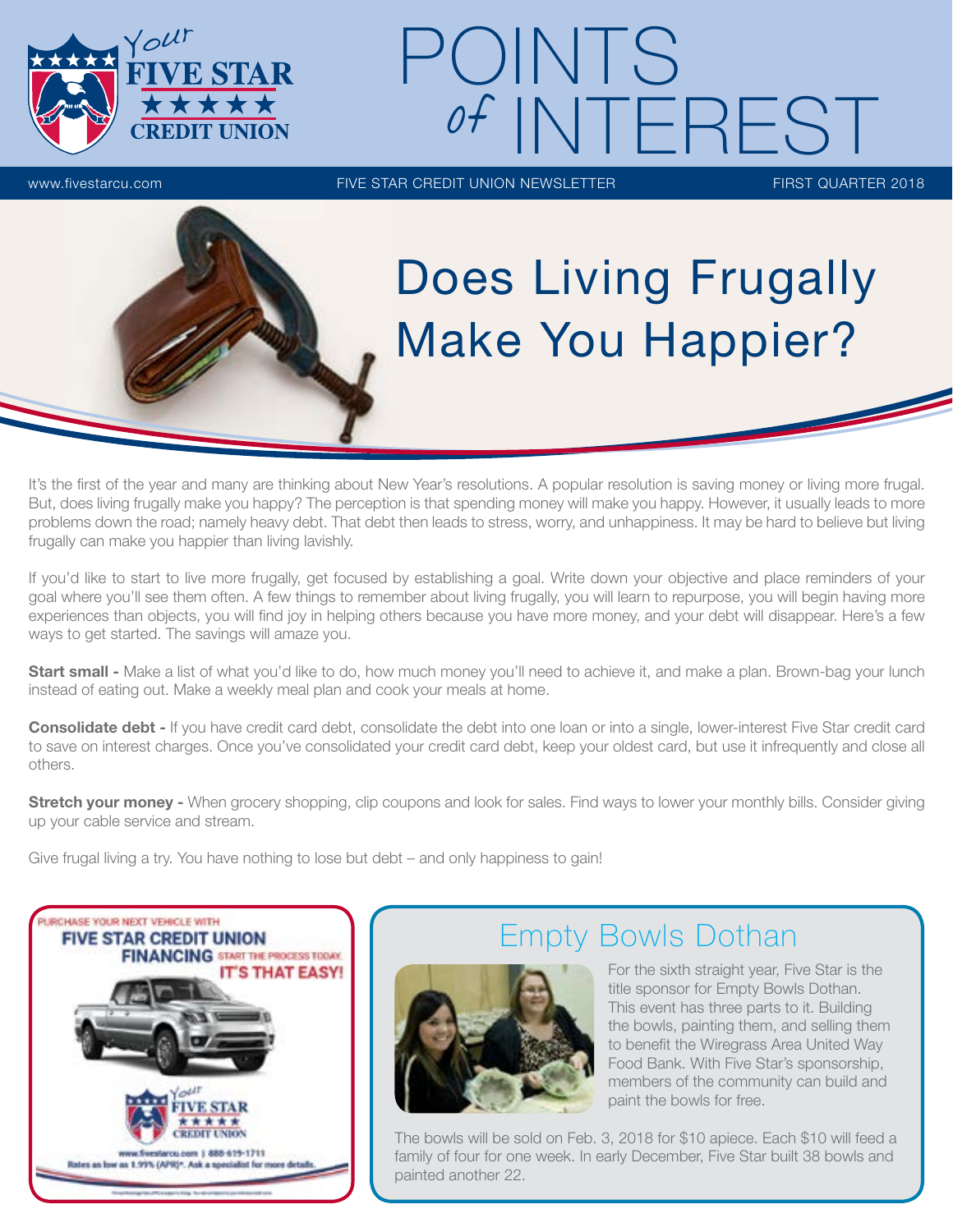

# www.fivestarcu.com FIVE STAR CREDIT UNION NEWSLETTER FIRST QUARTER 2018 POINTS of INTEREST

# Does Living Frugally Make You Happier?

It's the first of the year and many are thinking about New Year's resolutions. A popular resolution is saving money or living more frugal. But, does living frugally make you happy? The perception is that spending money will make you happy. However, it usually leads to more problems down the road; namely heavy debt. That debt then leads to stress, worry, and unhappiness. It may be hard to believe but living frugally can make you happier than living lavishly.

If you'd like to start to live more frugally, get focused by establishing a goal. Write down your objective and place reminders of your goal where you'll see them often. A few things to remember about living frugally, you will learn to repurpose, you will begin having more experiences than objects, you will find joy in helping others because you have more money, and your debt will disappear. Here's a few ways to get started. The savings will amaze you.

Start small - Make a list of what you'd like to do, how much money you'll need to achieve it, and make a plan. Brown-bag your lunch instead of eating out. Make a weekly meal plan and cook your meals at home.

Consolidate debt - If you have credit card debt, consolidate the debt into one loan or into a single, lower-interest Five Star credit card to save on interest charges. Once you've consolidated your credit card debt, keep your oldest card, but use it infrequently and close all others.

Stretch your money - When grocery shopping, clip coupons and look for sales. Find ways to lower your monthly bills. Consider giving up your cable service and stream.

Give frugal living a try. You have nothing to lose but debt – and only happiness to gain!



## Empty Bowls Dothan

For the sixth straight year, Five Star is the title sponsor for Empty Bowls Dothan. This event has three parts to it. Building the bowls, painting them, and selling them to benefit the Wiregrass Area United Way Food Bank. With Five Star's sponsorship, members of the community can build and paint the bowls for free.

The bowls will be sold on Feb. 3, 2018 for \$10 apiece. Each \$10 will feed a family of four for one week. In early December, Five Star built 38 bowls and painted another 22.